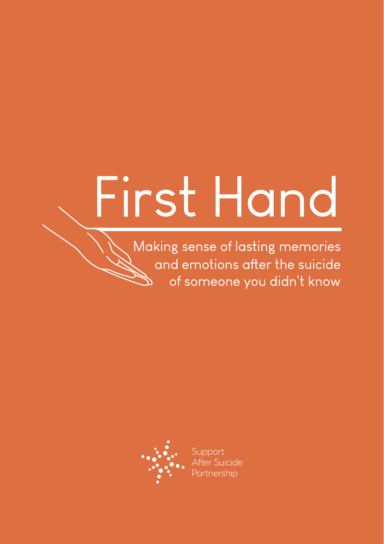# First Hand

Making sense of lasting memories and emotions after the suicide of someone you didn't know

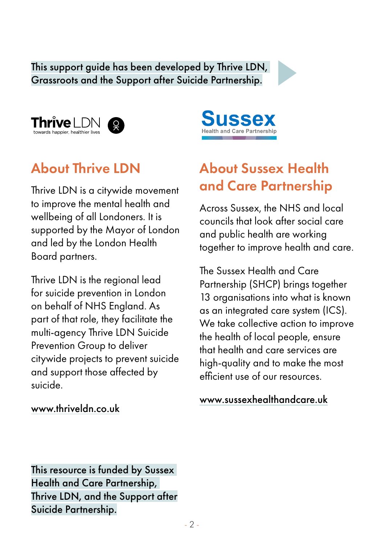#### This support guide has been developed by Thrive LDN, Grassroots and the Support after Suicide Partnership.





# About Thrive LDN

Thrive LDN is a citywide movement to improve the mental health and wellbeing of all Londoners. It is supported by the Mayor of London and led by the London Health Board partners.

Thrive LDN is the regional lead for suicide prevention in London on behalf of NHS England. As part of that role, they facilitate the multi-agency Thrive LDN Suicide Prevention Group to deliver citywide projects to prevent suicide and support those affected by suicide.



# About Sussex Health and Care Partnership

Across Sussex, the NHS and local councils that look after social care and public health are working together to improve health and care.

The Sussex Health and Care Partnership (SHCP) brings together 13 organisations into what is known as an integrated care system (ICS). We take collective action to improve the health of local people, ensure that health and care services are high-quality and to make the most efficient use of our resources.

#### www.sussexhealthandcare.uk

#### [www.thriveldn.co.uk](http://www.thriveldn.co.uk)

This resource is funded by Sussex Health and Care Partnership, Thrive LDN, and the Support after Suicide Partnership.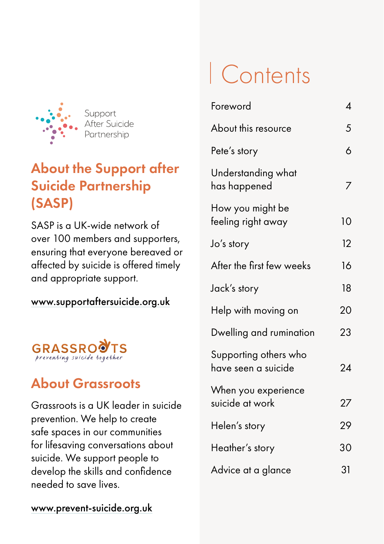

# About the Support after Suicide Partnership (SASP)

SASP is a UK-wide network of over 100 members and supporters, ensuring that everyone bereaved or affected by suicide is offered timely and appropriate support.

#### [www.supportaftersuicide.org.uk](http://www.supportaftersuicide.org.uk)

# **GRASSROVIS**

# About Grassroots

Grassroots is a UK leader in suicide prevention. We help to create safe spaces in our communities for lifesaving conversations about suicide. We support people to develop the skills and confidence needed to save lives.

# Contents

| Foreword                                     | 4  |
|----------------------------------------------|----|
| About this resource                          | 5  |
| Pete's story                                 | 6  |
| Understanding what<br>has happened           |    |
| How you might be<br>feeling right away       | 10 |
| Jo's story                                   | 12 |
| After the first few weeks                    | 16 |
| Jack's story                                 | 18 |
| Help with moving on                          | 20 |
| Dwelling and rumination                      | 23 |
| Supporting others who<br>have seen a suicide | 24 |
| When you experience<br>suicide at work       | 27 |
| Helen's story                                | 29 |
| Heather's story                              | 30 |
| Advice at a glance                           | 31 |

[www.prevent-suicide.org.uk](http://www.prevent-suicide.org.uk)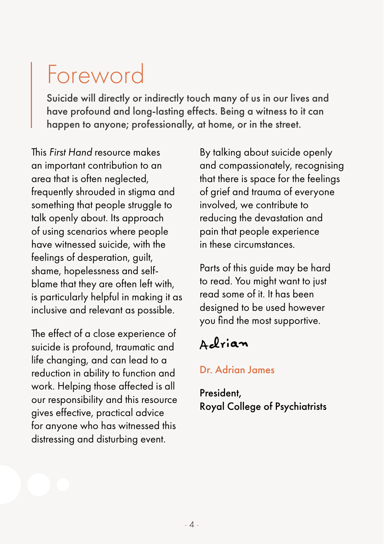# <span id="page-3-0"></span>Foreword

Suicide will directly or indirectly touch many of us in our lives and have profound and long-lasting effects. Being a witness to it can happen to anyone; professionally, at home, or in the street.

This *First Hand* resource makes an important contribution to an area that is often neglected, frequently shrouded in stigma and something that people struggle to talk openly about. Its approach of using scenarios where people have witnessed suicide, with the feelings of desperation, guilt, shame, hopelessness and selfblame that they are often left with, is particularly helpful in making it as inclusive and relevant as possible.

The effect of a close experience of suicide is profound, traumatic and life changing, and can lead to a reduction in ability to function and work. Helping those affected is all our responsibility and this resource gives effective, practical advice for anyone who has witnessed this distressing and disturbing event.

By talking about suicide openly and compassionately, recognising that there is space for the feelings of grief and trauma of everyone involved, we contribute to reducing the devastation and pain that people experience in these circumstances.

Parts of this guide may be hard to read. You might want to just read some of it. It has been designed to be used however you find the most supportive.

# Acfrian

#### Dr. Adrian James

President, Royal College of Psychiatrists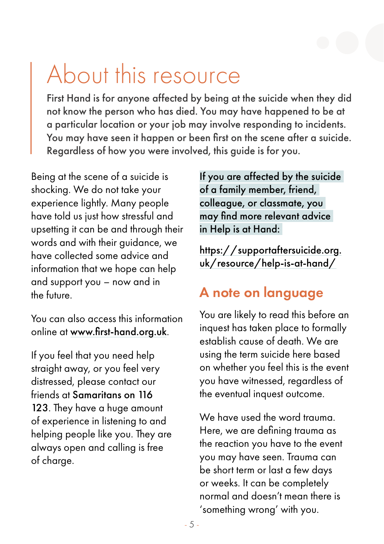# <span id="page-4-0"></span>About this resource

First Hand is for anyone affected by being at the suicide when they did not know the person who has died. You may have happened to be at a particular location or your job may involve responding to incidents. You may have seen it happen or been first on the scene after a suicide. Regardless of how you were involved, this guide is for you.

Being at the scene of a suicide is shocking. We do not take your experience lightly. Many people have told us just how stressful and upsetting it can be and through their words and with their guidance, we have collected some advice and information that we hope can help and support you – now and in the future.

You can also access this information online at [www.first-hand.org.uk](http://www.first-hand.org.uk).

If you feel that you need help straight away, or you feel very distressed, please contact our friends at Samaritans on 116 123. They have a huge amount of experience in listening to and helping people like you. They are always open and calling is free of charge.

If you are affected by the suicide of a family member, friend, colleague, or classmate, you may find more relevant advice in Help is at Hand:

[https://supportaftersuicide.org.](https://supportaftersuicide.org.uk/resource/help-is-at-hand/) [uk/resource/help-is-at-hand/](https://supportaftersuicide.org.uk/resource/help-is-at-hand/)

# A note on language

You are likely to read this before an inquest has taken place to formally establish cause of death. We are using the term suicide here based on whether you feel this is the event you have witnessed, regardless of the eventual inquest outcome.

We have used the word trauma. Here, we are defining trauma as the reaction you have to the event you may have seen. Trauma can be short term or last a few days or weeks. It can be completely normal and doesn't mean there is 'something wrong' with you.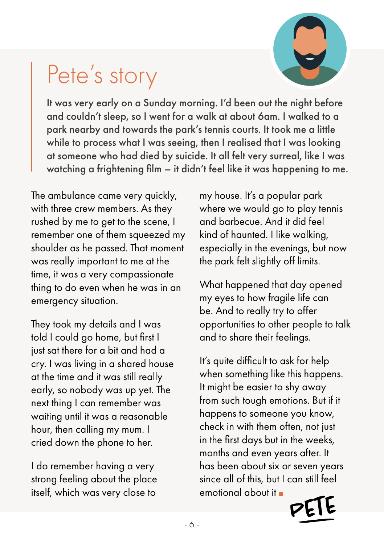

# <span id="page-5-0"></span>Pete's story

It was very early on a Sunday morning. I'd been out the night before and couldn't sleep, so I went for a walk at about 6am. I walked to a park nearby and towards the park's tennis courts. It took me a little while to process what I was seeing, then I realised that I was looking at someone who had died by suicide. It all felt very surreal, like I was watching a frightening film – it didn't feel like it was happening to me.

The ambulance came very quickly, with three crew members. As they rushed by me to get to the scene, I remember one of them squeezed my shoulder as he passed. That moment was really important to me at the time, it was a very compassionate thing to do even when he was in an emergency situation.

They took my details and I was told I could go home, but first I just sat there for a bit and had a cry. I was living in a shared house at the time and it was still really early, so nobody was up yet. The next thing I can remember was waiting until it was a reasonable hour, then calling my mum. I cried down the phone to her.

I do remember having a very strong feeling about the place itself, which was very close to

my house. It's a popular park where we would go to play tennis and barbecue. And it did feel kind of haunted. I like walking, especially in the evenings, but now the park felt slightly off limits.

What happened that day opened my eyes to how fragile life can be. And to really try to offer opportunities to other people to talk and to share their feelings.

It's quite difficult to ask for help when something like this happens. It might be easier to shy away from such tough emotions. But if it happens to someone you know, check in with them often, not just in the first days but in the weeks, months and even years after. It has been about six or seven years since all of this, but I can still feel emotional about it

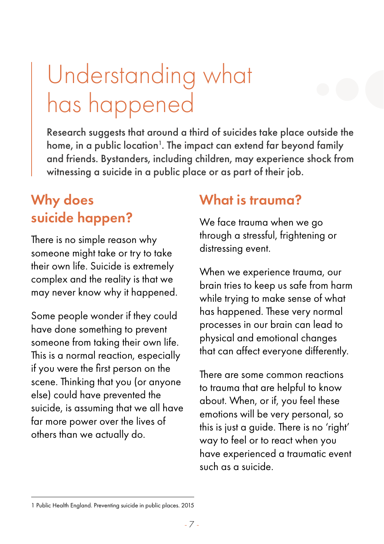# <span id="page-6-0"></span>Understanding what has happened

Research suggests that around a third of suicides take place outside the home, in a public location $^{\rm l}$ . The impact can extend far beyond family and friends. Bystanders, including children, may experience shock from witnessing a suicide in a public place or as part of their job.

# Why does suicide happen?

There is no simple reason why someone might take or try to take their own life. Suicide is extremely complex and the reality is that we may never know why it happened.

Some people wonder if they could have done something to prevent someone from taking their own life. This is a normal reaction, especially if you were the first person on the scene. Thinking that you (or anyone else) could have prevented the suicide, is assuming that we all have far more power over the lives of others than we actually do.

### What is trauma?

We face trauma when we go through a stressful, frightening or distressing event.

When we experience trauma, our brain tries to keep us safe from harm while trying to make sense of what has happened. These very normal processes in our brain can lead to physical and emotional changes that can affect everyone differently.

There are some common reactions to trauma that are helpful to know about. When, or if, you feel these emotions will be very personal, so this is just a guide. There is no 'right' way to feel or to react when you have experienced a traumatic event such as a suicide.

<sup>1</sup> Public Health England. Preventing suicide in public places. 2015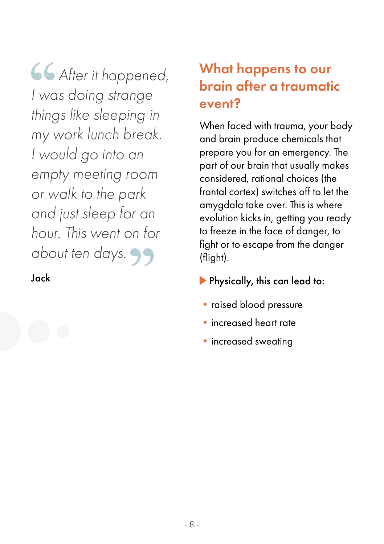*After it happened, I was doing strange things like sleeping in my work lunch break. I would go into an empty meeting room or walk to the park and just sleep for an hour. This went on for about ten days.* 

#### Jack

# What happens to our brain after a traumatic event?

When faced with trauma, your body and brain produce chemicals that prepare you for an emergency. The part of our brain that usually makes considered, rational choices (the frontal cortex) switches off to let the amygdala take over. This is where evolution kicks in, getting you ready to freeze in the face of danger, to fight or to escape from the danger (flight).

- **Physically, this can lead to:**
- raised blood pressure
- •increased heart rate
- increased sweating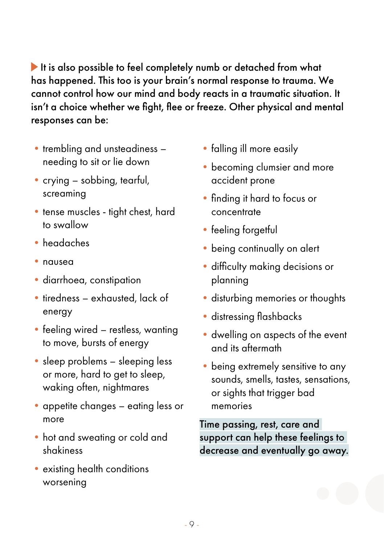It is also possible to feel completely numb or detached from what has happened. This too is your brain's normal response to trauma. We cannot control how our mind and body reacts in a traumatic situation. It isn't a choice whether we fight, flee or freeze. Other physical and mental responses can be:

- trembling and unsteadiness needing to sit or lie down
- crying sobbing, tearful, screaming
- tense muscles tight chest, hard to swallow
- •headaches
- nausea
- diarrhoea, constipation
- tiredness exhausted, lack of energy
- feeling wired restless, wanting to move, bursts of energy
- sleep problems sleeping less or more, hard to get to sleep, waking often, nightmares
- appetite changes eating less or more
- •hot and sweating or cold and shakiness
- existing health conditions worsening
- falling ill more easily
- becoming clumsier and more accident prone
- •finding it hard to focus or concentrate
- feeling forgetful
- being continually on alert
- difficulty making decisions or planning
- disturbing memories or thoughts
- •distressing flashbacks
- dwelling on aspects of the event and its aftermath
- being extremely sensitive to any sounds, smells, tastes, sensations, or sights that trigger bad memories

Time passing, rest, care and support can help these feelings to decrease and eventually go away.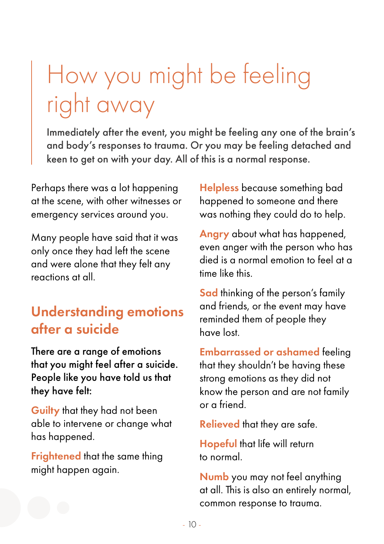# <span id="page-9-0"></span>How you might be feeling right away

Immediately after the event, you might be feeling any one of the brain's and body's responses to trauma. Or you may be feeling detached and keen to get on with your day. All of this is a normal response.

Perhaps there was a lot happening at the scene, with other witnesses or emergency services around you.

Many people have said that it was only once they had left the scene and were alone that they felt any reactions at all.

# Understanding emotions after a suicide

There are a range of emotions that you might feel after a suicide. People like you have told us that they have felt:

Guilty that they had not been able to intervene or change what has happened.

Frightened that the same thing might happen again.

Helpless because something bad happened to someone and there was nothing they could do to help.

Angry about what has happened, even anger with the person who has died is a normal emotion to feel at a time like this.

Sad thinking of the person's family and friends, or the event may have reminded them of people they have lost.

Embarrassed or ashamed feeling that they shouldn't be having these strong emotions as they did not know the person and are not family or a friend.

Relieved that they are safe.

Hopeful that life will return to normal.

Numb you may not feel anything at all. This is also an entirely normal, common response to trauma.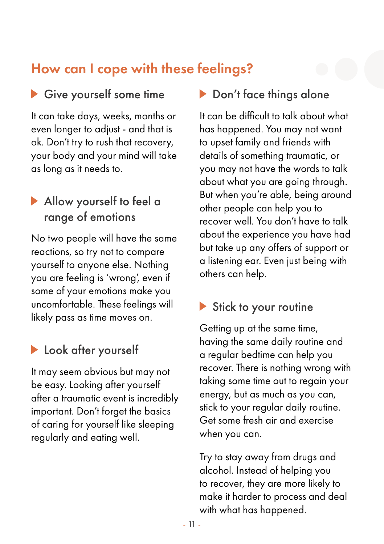# How can I cope with these feelings?

### Give yourself some time

It can take days, weeks, months or even longer to adjust - and that is ok. Don't try to rush that recovery, your body and your mind will take as long as it needs to.

#### Allow yourself to feel a range of emotions

No two people will have the same reactions, so try not to compare yourself to anyone else. Nothing you are feeling is 'wrong', even if some of your emotions make you uncomfortable. These feelings will likely pass as time moves on.

### **Look after yourself**

It may seem obvious but may not be easy. Looking after yourself after a traumatic event is incredibly important. Don't forget the basics of caring for yourself like sleeping regularly and eating well.

#### ▶ Don't face things alone

It can be difficult to talk about what has happened. You may not want to upset family and friends with details of something traumatic, or you may not have the words to talk about what you are going through. But when you're able, being around other people can help you to recover well. You don't have to talk about the experience you have had but take up any offers of support or a listening ear. Even just being with others can help.

#### Stick to your routine

Getting up at the same time, having the same daily routine and a regular bedtime can help you recover. There is nothing wrong with taking some time out to regain your energy, but as much as you can, stick to your regular daily routine. Get some fresh air and exercise when you can.

Try to stay away from drugs and alcohol. Instead of helping you to recover, they are more likely to make it harder to process and deal with what has happened.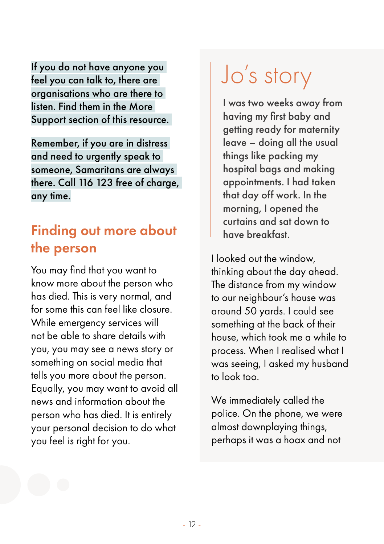<span id="page-11-0"></span>If you do not have anyone you feel you can talk to, there are organisations who are there to listen. Find them in the More Support section of this resource.

Remember, if you are in distress and need to urgently speak to someone, Samaritans are always there. Call 116 123 free of charge, any time.

# Finding out more about the person

You may find that you want to know more about the person who has died. This is very normal, and for some this can feel like closure. While emergency services will not be able to share details with you, you may see a news story or something on social media that tells you more about the person. Equally, you may want to avoid all news and information about the person who has died. It is entirely your personal decision to do what you feel is right for you.

# Jo's story

I was two weeks away from having my first baby and getting ready for maternity leave – doing all the usual things like packing my hospital bags and making appointments. I had taken that day off work. In the morning, I opened the curtains and sat down to have breakfast.

I looked out the window, thinking about the day ahead. The distance from my window to our neighbour's house was around 50 yards. I could see something at the back of their house, which took me a while to process. When I realised what I was seeing, I asked my husband to look too.

We immediately called the police. On the phone, we were almost downplaying things, perhaps it was a hoax and not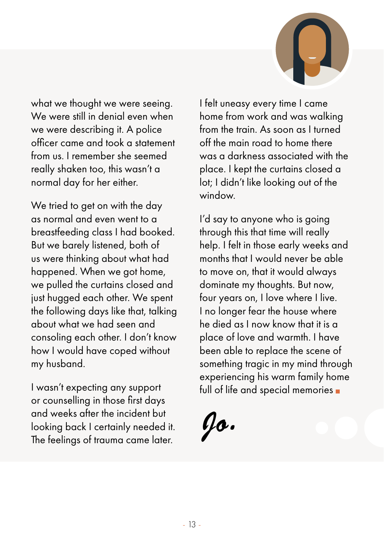

what we thought we were seeing. We were still in denial even when we were describing it. A police officer came and took a statement from us. I remember she seemed really shaken too, this wasn't a normal day for her either.

We tried to get on with the day as normal and even went to a breastfeeding class I had booked. But we barely listened, both of us were thinking about what had happened. When we got home, we pulled the curtains closed and just hugged each other. We spent the following days like that, talking about what we had seen and consoling each other. I don't know how I would have coped without my husband.

I wasn't expecting any support or counselling in those first days and weeks after the incident but looking back I certainly needed it. The feelings of trauma came later.

I felt uneasy every time I came home from work and was walking from the train. As soon as I turned off the main road to home there was a darkness associated with the place. I kept the curtains closed a lot; I didn't like looking out of the window.

I'd say to anyone who is going through this that time will really help. I felt in those early weeks and months that I would never be able to move on, that it would always dominate my thoughts. But now, four years on, I love where I live. I no longer fear the house where he died as I now know that it is a place of love and warmth. I have been able to replace the scene of something tragic in my mind through experiencing his warm family home full of life and special memories

*Jo.*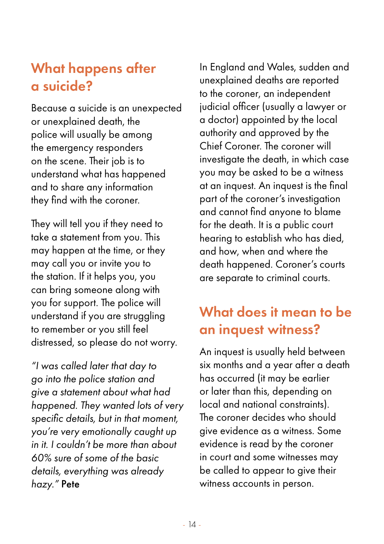# What happens after a suicide?

Because a suicide is an unexpected or unexplained death, the police will usually be among the emergency responders on the scene. Their job is to understand what has happened and to share any information they find with the coroner.

They will tell you if they need to take a statement from you. This may happen at the time, or they may call you or invite you to the station. If it helps you, you can bring someone along with you for support. The police will understand if you are struggling to remember or you still feel distressed, so please do not worry.

*"I was called later that day to go into the police station and give a statement about what had happened. They wanted lots of very specific details, but in that moment, you're very emotionally caught up in it. I couldn't be more than about 60% sure of some of the basic details, everything was already hazy."* Pete

In England and Wales, sudden and unexplained deaths are reported to the coroner, an independent judicial officer (usually a lawyer or a doctor) appointed by the local authority and approved by the Chief Coroner. The coroner will investigate the death, in which case you may be asked to be a witness at an inquest. An inquest is the final part of the coroner's investigation and cannot find anyone to blame for the death. It is a public court hearing to establish who has died, and how, when and where the death happened. Coroner's courts are separate to criminal courts.

# What does it mean to be an inquest witness?

An inquest is usually held between six months and a year after a death has occurred (it may be earlier or later than this, depending on local and national constraints). The coroner decides who should give evidence as a witness. Some evidence is read by the coroner in court and some witnesses may be called to appear to give their witness accounts in person.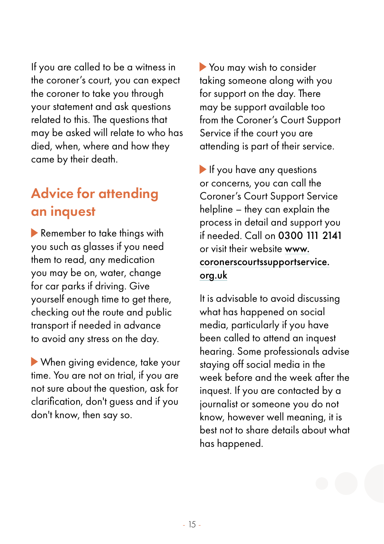If you are called to be a witness in the coroner's court, you can expect the coroner to take you through your statement and ask questions related to this. The questions that may be asked will relate to who has died, when, where and how they came by their death.

# Advice for attending an inquest

Remember to take things with you such as glasses if you need them to read, any medication you may be on, water, change for car parks if driving. Give yourself enough time to get there, checking out the route and public transport if needed in advance to avoid any stress on the day.

 When giving evidence, take your time. You are not on trial, if you are not sure about the question, ask for clarification, don't guess and if you don't know, then say so.

You may wish to consider taking someone along with you for support on the day. There may be support available too from the Coroner's Court Support Service if the court you are attending is part of their service.

If you have any questions or concerns, you can call the Coroner's Court Support Service helpline – they can explain the process in detail and support you if needed. Call on 0300 111 2141 or visit their website [www.](https://coronerscourtssupportservice.org.uk) [coronerscourtssupportservice.](https://coronerscourtssupportservice.org.uk) [org.uk](https://coronerscourtssupportservice.org.uk)

It is advisable to avoid discussing what has happened on social media, particularly if you have been called to attend an inquest hearing. Some professionals advise staying off social media in the week before and the week after the inquest. If you are contacted by a journalist or someone you do not know, however well meaning, it is best not to share details about what has happened.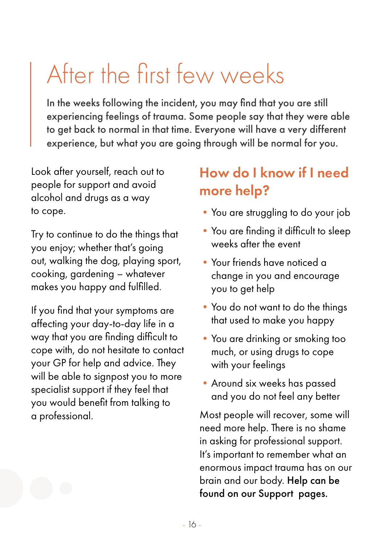# <span id="page-15-0"></span>After the first few weeks

In the weeks following the incident, you may find that you are still experiencing feelings of trauma. Some people say that they were able to get back to normal in that time. Everyone will have a very different experience, but what you are going through will be normal for you.

Look after yourself, reach out to people for support and avoid alcohol and drugs as a way to cope.

Try to continue to do the things that you enjoy; whether that's going out, walking the dog, playing sport, cooking, gardening – whatever makes you happy and fulfilled.

If you find that your symptoms are affecting your day-to-day life in a way that you are finding difficult to cope with, do not hesitate to contact your GP for help and advice. They will be able to signpost you to more specialist support if they feel that you would benefit from talking to a professional.

# How do I know if I need more help?

- You are struggling to do your job
- You are finding it difficult to sleep weeks after the event
- •Your friends have noticed a change in you and encourage you to get help
- You do not want to do the things that used to make you happy
- •You are drinking or smoking too much, or using drugs to cope with your feelings
- •Around six weeks has passed and you do not feel any better

Most people will recover, some will need more help. There is no shame in asking for professional support. It's important to remember what an enormous impact trauma has on our brain and our body. Help can be found on our Support pages.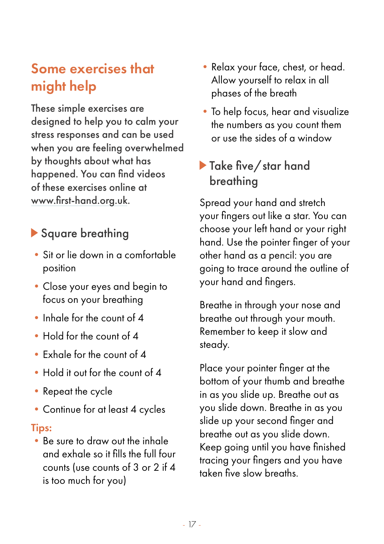# Some exercises that might help

These simple exercises are designed to help you to calm your stress responses and can be used when you are feeling overwhelmed by thoughts about what has happened. You can find videos of these exercises online at [www.first-hand.org.uk](http://www.first-hand.org.uk).

### Square breathing

- •Sit or lie down in a comfortable position
- •Close your eyes and begin to focus on your breathing
- Inhale for the count of 4
- •Hold for the count of 4
- •Exhale for the count of 4
- •Hold it out for the count of 4
- Repeat the cycle
- Continue for at least 4 cycles

#### Tips:

•Be sure to draw out the inhale and exhale so it fills the full four counts (use counts of 3 or 2 if 4 is too much for you)

- •Relax your face, chest, or head. Allow yourself to relax in all phases of the breath
- To help focus, hear and visualize the numbers as you count them or use the sides of a window

### Take five/star hand breathing

Spread your hand and stretch your fingers out like a star. You can choose your left hand or your right hand. Use the pointer finger of your other hand as a pencil: you are going to trace around the outline of your hand and fingers.

Breathe in through your nose and breathe out through your mouth. Remember to keep it slow and steady.

Place your pointer finger at the bottom of your thumb and breathe in as you slide up. Breathe out as you slide down. Breathe in as you slide up your second finger and breathe out as you slide down. Keep going until you have finished tracing your fingers and you have taken five slow breaths.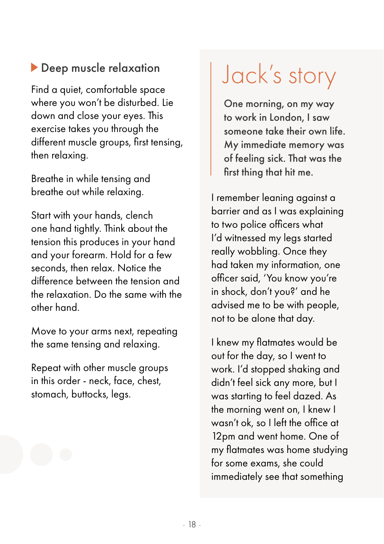### <span id="page-17-0"></span>**Deep muscle relaxation**

Find a quiet, comfortable space where you won't be disturbed. Lie down and close your eyes. This exercise takes you through the different muscle groups, first tensing, then relaxing.

Breathe in while tensing and breathe out while relaxing.

Start with your hands, clench one hand tightly. Think about the tension this produces in your hand and your forearm. Hold for a few seconds, then relax. Notice the difference between the tension and the relaxation. Do the same with the other hand.

Move to your arms next, repeating the same tensing and relaxing.

Repeat with other muscle groups in this order - neck, face, chest, stomach, buttocks, legs.

# Jack's story

One morning, on my way to work in London, I saw someone take their own life. My immediate memory was of feeling sick. That was the first thing that hit me.

I remember leaning against a barrier and as I was explaining to two police officers what I'd witnessed my legs started really wobbling. Once they had taken my information, one officer said, 'You know you're in shock, don't you?' and he advised me to be with people, not to be alone that day.

I knew my flatmates would be out for the day, so I went to work. I'd stopped shaking and didn't feel sick any more, but I was starting to feel dazed. As the morning went on, I knew I wasn't ok, so I left the office at 12pm and went home. One of my flatmates was home studying for some exams, she could immediately see that something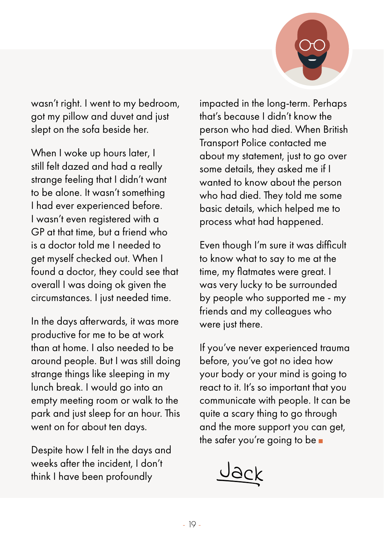

wasn't right. I went to my bedroom, got my pillow and duvet and just slept on the sofa beside her.

When I woke up hours later, I still felt dazed and had a really strange feeling that I didn't want to be alone. It wasn't something I had ever experienced before. I wasn't even registered with a GP at that time, but a friend who is a doctor told me I needed to get myself checked out. When I found a doctor, they could see that overall I was doing ok given the circumstances. I just needed time.

In the days afterwards, it was more productive for me to be at work than at home. I also needed to be around people. But I was still doing strange things like sleeping in my lunch break. I would go into an empty meeting room or walk to the park and just sleep for an hour. This went on for about ten days.

Despite how I felt in the days and weeks after the incident, I don't think I have been profoundly

impacted in the long-term. Perhaps that's because I didn't know the person who had died. When British Transport Police contacted me about my statement, just to go over some details, they asked me if I wanted to know about the person who had died. They told me some basic details, which helped me to process what had happened.

Even though I'm sure it was difficult to know what to say to me at the time, my flatmates were great. I was very lucky to be surrounded by people who supported me - my friends and my colleagues who were just there.

If you've never experienced trauma before, you've got no idea how your body or your mind is going to react to it. It's so important that you communicate with people. It can be quite a scary thing to go through and the more support you can get, the safer you're going to be

Jack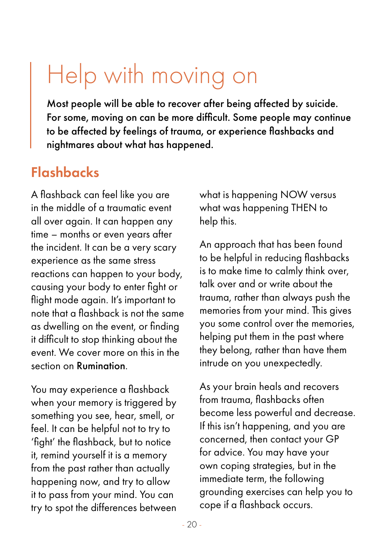# <span id="page-19-0"></span>Help with moving on

Most people will be able to recover after being affected by suicide. For some, moving on can be more difficult. Some people may continue to be affected by feelings of trauma, or experience flashbacks and nightmares about what has happened.

### Flashbacks

A flashback can feel like you are in the middle of a traumatic event all over again. It can happen any time – months or even years after the incident. It can be a very scary experience as the same stress reactions can happen to your body, causing your body to enter fight or flight mode again. It's important to note that a flashback is not the same as dwelling on the event, or finding it difficult to stop thinking about the event. We cover more on this in the section on Rumination.

You may experience a flashback when your memory is triggered by something you see, hear, smell, or feel. It can be helpful not to try to 'fight' the flashback, but to notice it, remind yourself it is a memory from the past rather than actually happening now, and try to allow it to pass from your mind. You can try to spot the differences between what is happening NOW versus what was happening THEN to help this.

An approach that has been found to be helpful in reducing flashbacks is to make time to calmly think over, talk over and or write about the trauma, rather than always push the memories from your mind. This gives you some control over the memories, helping put them in the past where they belong, rather than have them intrude on you unexpectedly.

As your brain heals and recovers from trauma, flashbacks often become less powerful and decrease. If this isn't happening, and you are concerned, then contact your GP for advice. You may have your own coping strategies, but in the immediate term, the following grounding exercises can help you to cope if a flashback occurs.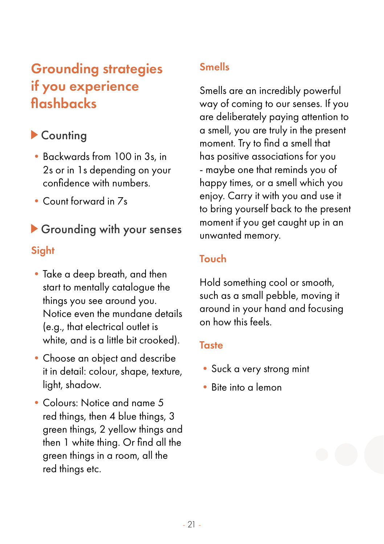# Grounding strategies if you experience flashbacks

### ▶ Countina

- •Backwards from 100 in 3s, in 2s or in 1s depending on your confidence with numbers.
- •Count forward in 7s

# Grounding with your senses

#### **Sight**

- Take a deep breath, and then start to mentally catalogue the things you see around you. Notice even the mundane details (e.g., that electrical outlet is white, and is a little bit crooked).
- •Choose an object and describe it in detail: colour, shape, texture, light, shadow.
- •Colours: Notice and name 5 red things, then 4 blue things, 3 green things, 2 yellow things and then 1 white thing. Or find all the green things in a room, all the red things etc.

#### Smells

Smells are an incredibly powerful way of coming to our senses. If you are deliberately paying attention to a smell, you are truly in the present moment. Try to find a smell that has positive associations for you - maybe one that reminds you of happy times, or a smell which you enjoy. Carry it with you and use it to bring yourself back to the present moment if you get caught up in an unwanted memory.

#### Touch

Hold something cool or smooth, such as a small pebble, moving it around in your hand and focusing on how this feels.

#### **Taste**

- Suck a very strong mint
- •Bite into a lemon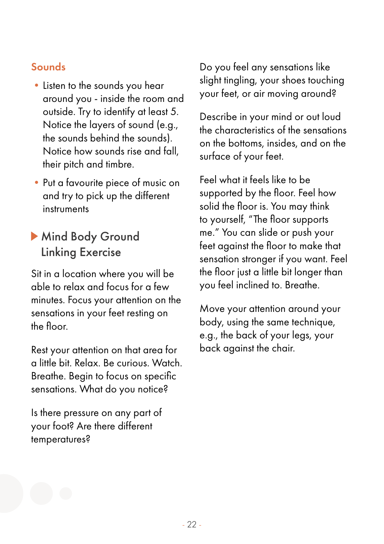#### Sounds

- •Listen to the sounds you hear around you - inside the room and outside. Try to identify at least 5. Notice the layers of sound (e.g., the sounds behind the sounds). Notice how sounds rise and fall, their pitch and timbre.
- •Put a favourite piece of music on and try to pick up the different instruments

### Mind Body Ground Linking Exercise

Sit in a location where you will be able to relax and focus for a few minutes. Focus your attention on the sensations in your feet resting on the floor.

Rest your attention on that area for a little bit. Relax. Be curious. Watch. Breathe. Begin to focus on specific sensations. What do you notice?

Is there pressure on any part of your foot? Are there different temperatures?

Do you feel any sensations like slight tingling, your shoes touching your feet, or air moving around?

Describe in your mind or out loud the characteristics of the sensations on the bottoms, insides, and on the surface of your feet.

Feel what it feels like to be supported by the floor. Feel how solid the floor is. You may think to yourself, "The floor supports me." You can slide or push your feet against the floor to make that sensation stronger if you want. Feel the floor just a little bit longer than you feel inclined to. Breathe.

Move your attention around your body, using the same technique, e.g., the back of your legs, your back against the chair.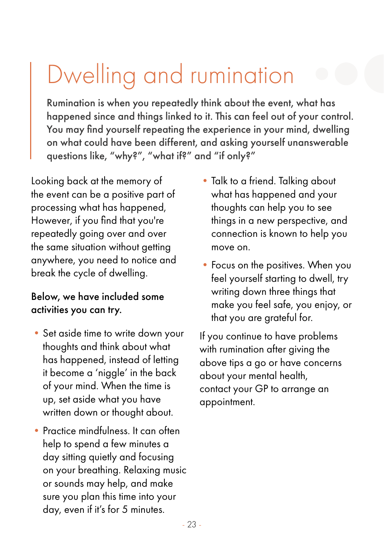# <span id="page-22-0"></span>Dwelling and rumination

Rumination is when you repeatedly think about the event, what has happened since and things linked to it. This can feel out of your control. You may find yourself repeating the experience in your mind, dwelling on what could have been different, and asking yourself unanswerable questions like, "why?", "what if?" and "if only?"

Looking back at the memory of the event can be a positive part of processing what has happened, However, if you find that you're repeatedly going over and over the same situation without getting anywhere, you need to notice and break the cycle of dwelling.

#### Below, we have included some activities you can try.

- Set aside time to write down your thoughts and think about what has happened, instead of letting it become a 'niggle' in the back of your mind. When the time is up, set aside what you have written down or thought about.
- Practice mindfulness. It can often help to spend a few minutes a day sitting quietly and focusing on your breathing. Relaxing music or sounds may help, and make sure you plan this time into your day, even if it's for 5 minutes.
- Talk to a friend. Talking about what has happened and your thoughts can help you to see things in a new perspective, and connection is known to help you move on.
- Focus on the positives. When you feel yourself starting to dwell, try writing down three things that make you feel safe, you enjoy, or that you are grateful for.

If you continue to have problems with rumination after giving the above tips a go or have concerns about your mental health, contact your GP to arrange an appointment.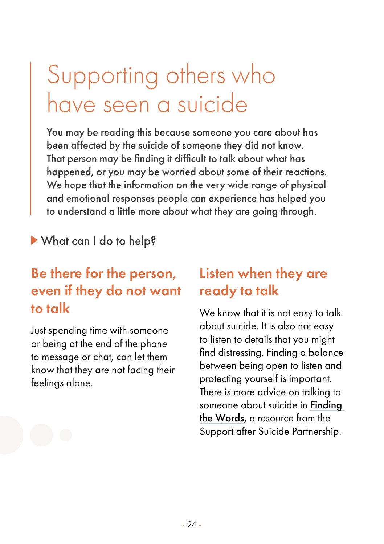# <span id="page-23-0"></span>Supporting others who have seen a suicide

You may be reading this because someone you care about has been affected by the suicide of someone they did not know. That person may be finding it difficult to talk about what has happened, or you may be worried about some of their reactions. We hope that the information on the very wide range of physical and emotional responses people can experience has helped you to understand a little more about what they are going through.

What can I do to help?

# Be there for the person, even if they do not want to talk

Just spending time with someone or being at the end of the phone to message or chat, can let them know that they are not facing their feelings alone.

### Listen when they are ready to talk

We know that it is not easy to talk about suicide. It is also not easy to listen to details that you might find distressing. Finding a balance between being open to listen and protecting yourself is important. There is more advice on talking to someone about suicide in [Finding](https://supportaftersuicide.org.uk/resource/finding-the-words)  [the Words](https://supportaftersuicide.org.uk/resource/finding-the-words), a resource from the Support after Suicide Partnership.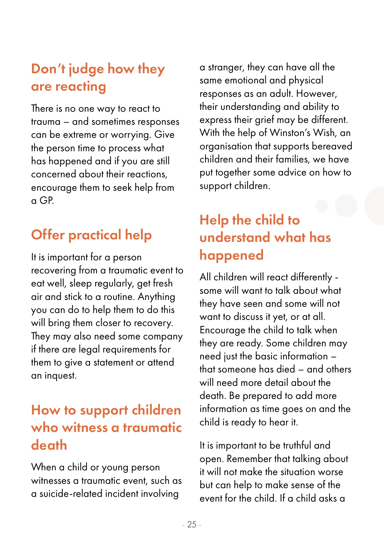# Don't judge how they are reacting

There is no one way to react to trauma – and sometimes responses can be extreme or worrying. Give the person time to process what has happened and if you are still concerned about their reactions, encourage them to seek help from a GP.

# Offer practical help

It is important for a person recovering from a traumatic event to eat well, sleep regularly, get fresh air and stick to a routine. Anything you can do to help them to do this will bring them closer to recovery. They may also need some company if there are legal requirements for them to give a statement or attend an inquest.

# How to support children who witness a traumatic death

When a child or young person witnesses a traumatic event, such as a suicide-related incident involving

a stranger, they can have all the same emotional and physical responses as an adult. However, their understanding and ability to express their grief may be different. With the help of Winston's Wish, an organisation that supports bereaved children and their families, we have put together some advice on how to support children.

# Help the child to understand what has happened

All children will react differently some will want to talk about what they have seen and some will not want to discuss it yet, or at all. Encourage the child to talk when they are ready. Some children may need just the basic information – that someone has died – and others will need more detail about the death. Be prepared to add more information as time goes on and the child is ready to hear it.

It is important to be truthful and open. Remember that talking about it will not make the situation worse but can help to make sense of the event for the child. If a child asks a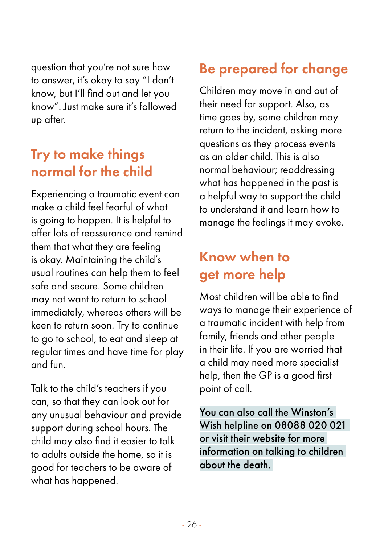question that you're not sure how to answer, it's okay to say "I don't know, but I'll find out and let you know". Just make sure it's followed up after.

### Try to make things normal for the child

Experiencing a traumatic event can make a child feel fearful of what is going to happen. It is helpful to offer lots of reassurance and remind them that what they are feeling is okay. Maintaining the child's usual routines can help them to feel safe and secure. Some children may not want to return to school immediately, whereas others will be keen to return soon. Try to continue to go to school, to eat and sleep at regular times and have time for play and fun.

Talk to the child's teachers if you can, so that they can look out for any unusual behaviour and provide support during school hours. The child may also find it easier to talk to adults outside the home, so it is good for teachers to be aware of what has happened.

# Be prepared for change

Children may move in and out of their need for support. Also, as time goes by, some children may return to the incident, asking more questions as they process events as an older child. This is also normal behaviour; readdressing what has happened in the past is a helpful way to support the child to understand it and learn how to manage the feelings it may evoke.

# Know when to get more help

Most children will be able to find ways to manage their experience of a traumatic incident with help from family, friends and other people in their life. If you are worried that a child may need more specialist help, then the GP is a good first point of call.

You can also call the Winston's Wish helpline on 08088 020 021 or visit their website for more information on talking to children about the death.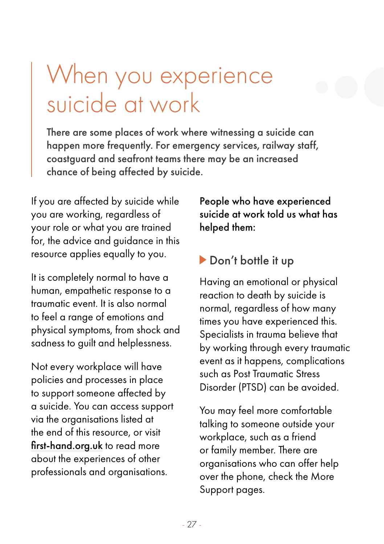# <span id="page-26-0"></span>When you experience suicide at work

There are some places of work where witnessing a suicide can happen more frequently. For emergency services, railway staff, coastguard and seafront teams there may be an increased chance of being affected by suicide.

If you are affected by suicide while you are working, regardless of your role or what you are trained for, the advice and guidance in this resource applies equally to you.

It is completely normal to have a human, empathetic response to a traumatic event. It is also normal to feel a range of emotions and physical symptoms, from shock and sadness to guilt and helplessness.

Not every workplace will have policies and processes in place to support someone affected by a suicide. You can access support via the organisations listed at the end of this resource, or visit [first-hand.org.uk](http://first-hand.org.uk) to read more about the experiences of other professionals and organisations.

People who have experienced suicide at work told us what has helped them:

#### Don't bottle it up

Having an emotional or physical reaction to death by suicide is normal, regardless of how many times you have experienced this. Specialists in trauma believe that by working through every traumatic event as it happens, complications such as Post Traumatic Stress Disorder (PTSD) can be avoided.

You may feel more comfortable talking to someone outside your workplace, such as a friend or family member. There are organisations who can offer help over the phone, check the More Support pages.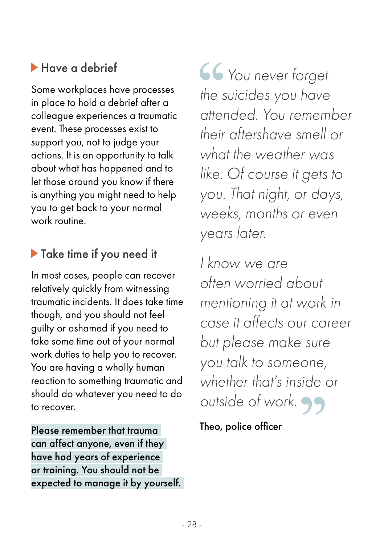# Have a debrief

Some workplaces have processes in place to hold a debrief after a colleague experiences a traumatic event. These processes exist to support you, not to judge your actions. It is an opportunity to talk about what has happened and to let those around you know if there is anything you might need to help you to get back to your normal work routine.

# Take time if you need it

In most cases, people can recover relatively quickly from witnessing traumatic incidents. It does take time though, and you should not feel guilty or ashamed if you need to take some time out of your normal work duties to help you to recover. You are having a wholly human reaction to something traumatic and should do whatever you need to do to recover.

Please remember that trauma can affect anyone, even if they have had years of experience or training. You should not be expected to manage it by yourself.  *You never forget the suicides you have attended. You remember their aftershave smell or what the weather was like. Of course it gets to you. That night, or days, weeks, months or even years later.* 

*I know we are often worried about mentioning it at work in case it affects our career but please make sure you talk to someone, whether that's inside or outside of work.* 

Theo, police officer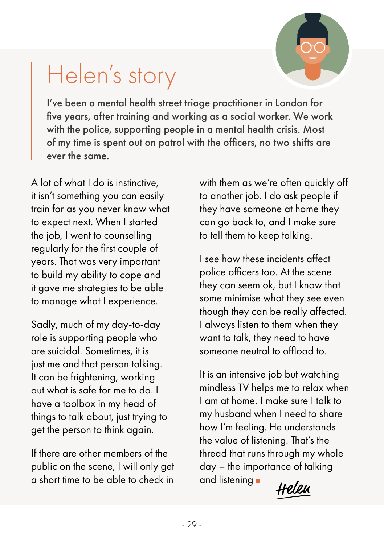

# <span id="page-28-0"></span>Helen's story

I've been a mental health street triage practitioner in London for five years, after training and working as a social worker. We work with the police, supporting people in a mental health crisis. Most of my time is spent out on patrol with the officers, no two shifts are ever the same.

A lot of what I do is instinctive, it isn't something you can easily train for as you never know what to expect next. When I started the job, I went to counselling regularly for the first couple of years. That was very important to build my ability to cope and it gave me strategies to be able to manage what I experience.

Sadly, much of my day-to-day role is supporting people who are suicidal. Sometimes, it is just me and that person talking. It can be frightening, working out what is safe for me to do. I have a toolbox in my head of things to talk about, just trying to get the person to think again.

If there are other members of the public on the scene, I will only get  $\alpha$  short time to be able to check in and listening  $\mu$ 

with them as we're often quickly off to another job. I do ask people if they have someone at home they can go back to, and I make sure to tell them to keep talking.

I see how these incidents affect police officers too. At the scene they can seem ok, but I know that some minimise what they see even though they can be really affected. I always listen to them when they want to talk, they need to have someone neutral to offload to.

It is an intensive job but watching mindless TV helps me to relax when I am at home. I make sure I talk to my husband when I need to share how I'm feeling. He understands the value of listening. That's the thread that runs through my whole day – the importance of talking and listening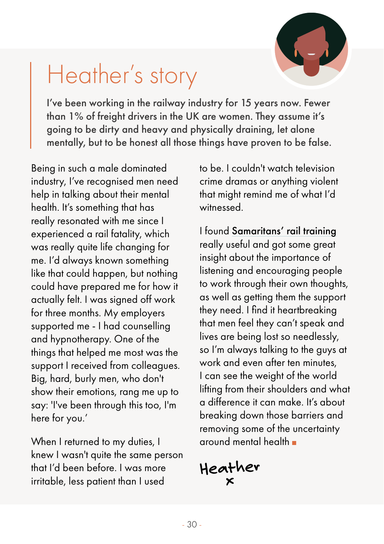

# <span id="page-29-0"></span>Heather's story

I've been working in the railway industry for 15 years now. Fewer than 1% of freight drivers in the UK are women. They assume it's going to be dirty and heavy and physically draining, let alone mentally, but to be honest all those things have proven to be false.

Being in such a male dominated industry, I've recognised men need help in talking about their mental health. It's something that has really resonated with me since I experienced a rail fatality, which was really quite life changing for me. I'd always known something like that could happen, but nothing could have prepared me for how it actually felt. I was signed off work for three months. My employers supported me - I had counselling and hypnotherapy. One of the things that helped me most was the support I received from colleagues. Big, hard, burly men, who don't show their emotions, rang me up to say: 'I've been through this too, I'm here for you.'

When I returned to my duties, I knew I wasn't quite the same person that I'd been before. I was more irritable, less patient than I used

to be. I couldn't watch television crime dramas or anything violent that might remind me of what I'd witnessed.

I found [Samaritans' rail training](https://www.samaritans.org/how-we-can-help/workplace/rail-industry-suicide-prevention-programme/) really useful and got some great insight about the importance of listening and encouraging people to work through their own thoughts, as well as getting them the support they need. I find it heartbreaking that men feel they can't speak and lives are being lost so needlessly, so I'm always talking to the guys at work and even after ten minutes, I can see the weight of the world lifting from their shoulders and what a difference it can make. It's about breaking down those barriers and removing some of the uncertainty around mental health

**Heather x**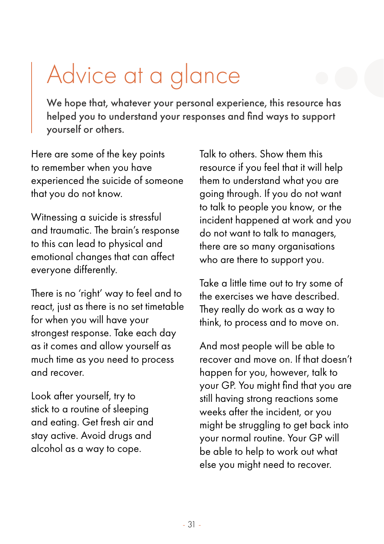# <span id="page-30-0"></span>Advice at a glance

We hope that, whatever your personal experience, this resource has helped you to understand your responses and find ways to support yourself or others.

Here are some of the key points to remember when you have experienced the suicide of someone that you do not know.

Witnessing a suicide is stressful and traumatic. The brain's response to this can lead to physical and emotional changes that can affect everyone differently.

There is no 'right' way to feel and to react, just as there is no set timetable for when you will have your strongest response. Take each day as it comes and allow yourself as much time as you need to process and recover.

Look after yourself, try to stick to a routine of sleeping and eating. Get fresh air and stay active. Avoid drugs and alcohol as a way to cope.

Talk to others. Show them this resource if you feel that it will help them to understand what you are going through. If you do not want to talk to people you know, or the incident happened at work and you do not want to talk to managers, there are so many organisations who are there to support you.

Take a little time out to try some of the exercises we have described. They really do work as a way to think, to process and to move on.

And most people will be able to recover and move on. If that doesn't happen for you, however, talk to your GP. You might find that you are still having strong reactions some weeks after the incident, or you might be struggling to get back into your normal routine. Your GP will be able to help to work out what else you might need to recover.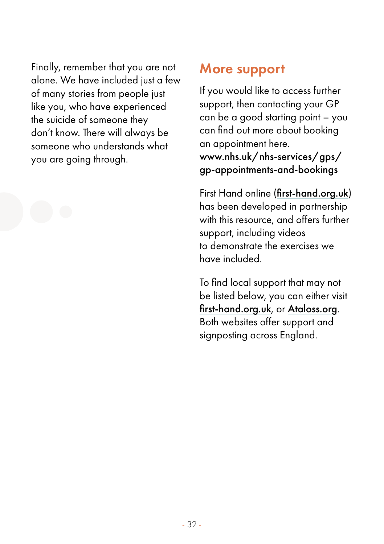Finally, remember that you are not alone. We have included just a few of many stories from people just like you, who have experienced the suicide of someone they don't know. There will always be someone who understands what you are going through.

### More support

If you would like to access further support, then contacting your GP can be a good starting point – you can find out more about booking an appointment here. [www.nhs.uk/nhs-services/gps/](www.nhs.uk/nhs-services/gps/gp-appointments-and-bookings)

[gp-appointments-and-bookings](www.nhs.uk/nhs-services/gps/gp-appointments-and-bookings)

First Hand online ([first-hand.org.uk](http://first-hand.org.uk)) has been developed in partnership with this resource, and offers further support, including videos to demonstrate the exercises we have included.

To find local support that may not be listed below, you can either visit [first-hand.org.uk](http://first-hand.org.uk), or [Ataloss.org](http://Ataloss.org). Both websites offer support and signposting across England.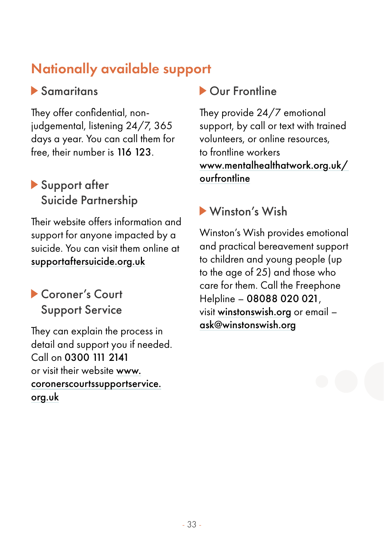# Nationally available support

### Samaritans

They offer confidential, nonjudgemental, listening 24/7, 365 days a year. You can call them for free, their number is 116 123.

### Support after Suicide Partnership

Their website offers information and support for anyone impacted by a suicide. You can visit them online at [supportaftersuicide.org.uk](http://supportaftersuicide.org.uk)

### Coroner's Court Support Service

They can explain the process in detail and support you if needed. Call on 0300 111 2141 or visit their website [www.](https://coronerscourtssupportservice.org.uk) [coronerscourtssupportservice.](https://coronerscourtssupportservice.org.uk) [org.uk](https://coronerscourtssupportservice.org.uk)

### Our Frontline

They provide 24/7 emotional support, by call or text with trained volunteers, or online resources, to frontline workers [www.mentalhealthatwork.org.uk/](http://www.mentalhealthatwork.org.uk/ourfrontline) [ourfrontline](http://www.mentalhealthatwork.org.uk/ourfrontline)

### Winston's Wish

Winston's Wish provides emotional and practical bereavement support to children and young people (up to the age of 25) and those who care for them. Call the Freephone Helpline – 08088 020 021, visit [winstonswish.org](http://winstonswish.org) or email – [ask@winstonswish.org](mailto:ask@winstonswish.org)